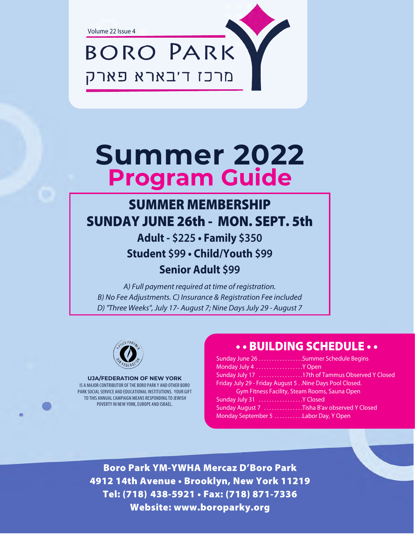Volume 22 Issue 4

**BORO PARK** 

מרכז ד'בארא פארק

## **Summer 2022 Program Guide**

### **SUMMER MEMBERSHIP SUNDAY JUNE 26th - MON, SEPT, 5th**

**Adult - \$225 • Family \$350 Student \$99 • Child/Youth \$99 Senior Adult \$99**

A) Full payment required at time of registration. B) No Fee Adjustments. C) Insurance & Registration Fee included D) "Three Weeks", July 17- August 7; Nine Days July 29 - August 7



#### **UJA/FEDERATION OF NEW YORK**

IS A MAJOR CONTRIBUTOR OF THE BORO PARK Y AND OTHER BORO PARK SOCIAL SERVICE AND EDUCATIONAL INSTITUTIONS. YOUR GIFT TO THIS ANNUAL CAMPAIGN MEANS RESPONDING TO JEWISH POVERTY IN NEW YORK, EUROPE AND ISRAEL.

| Sunday June 26 Summer Schedule Begins                   |  |  |  |  |  |  |
|---------------------------------------------------------|--|--|--|--|--|--|
| Monday July 4 Y Open                                    |  |  |  |  |  |  |
| Sunday July 17 17th of Tammus Observed Y Closed         |  |  |  |  |  |  |
| Friday July 29 - Friday August 5 Nine Days Pool Closed. |  |  |  |  |  |  |
| Gym Fitness Facility, Steam Rooms, Sauna Open           |  |  |  |  |  |  |
| Sunday July 31 Y Closed                                 |  |  |  |  |  |  |
| Sunday August 7 Tisha B'av observed Y Closed            |  |  |  |  |  |  |
| Monday September 5 Labor Day, Y Open                    |  |  |  |  |  |  |

**Boro Park YM-YWHA Mercaz D'Boro Park** Tel: (718) 438-5921 · Fax: (718) 871-7336 **Tel: (718)** 438-5921 • Tel: (718) 438-5921 • Tel: (718) 438-5921 • Tel: (718) 471-7336 **Website: www.boroparky.org**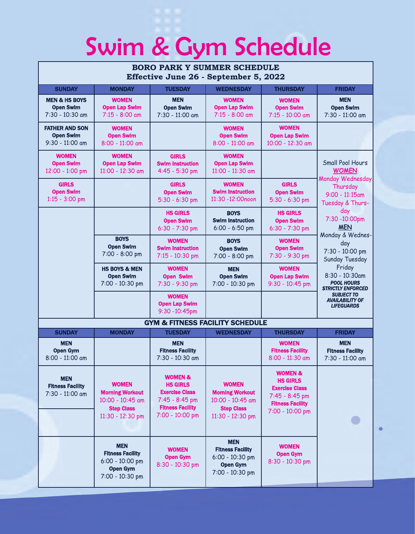# Swim & Gym Schedule

| <b>BORO PARK Y SUMMER SCHEDULE</b><br>Effective June 26 - September 5, 2022 |                                                                                                     |                                                                                                                                |                                                                                                     |                                                                                                                                  |                                                                                                                                                                                                                        |  |
|-----------------------------------------------------------------------------|-----------------------------------------------------------------------------------------------------|--------------------------------------------------------------------------------------------------------------------------------|-----------------------------------------------------------------------------------------------------|----------------------------------------------------------------------------------------------------------------------------------|------------------------------------------------------------------------------------------------------------------------------------------------------------------------------------------------------------------------|--|
| <b>SUNDAY</b>                                                               | <b>MONDAY</b>                                                                                       | <b>TUESDAY</b>                                                                                                                 | <b>WEDNESDAY</b>                                                                                    | <b>THURSDAY</b>                                                                                                                  | <b>FRIDAY</b>                                                                                                                                                                                                          |  |
| <b>MEN &amp; HS BOYS</b><br><b>Open Swim</b><br>7:30 - 10:30 am             | <b>WOMEN</b><br><b>Open Lap Swim</b><br>$7:15 - 8:00$ am                                            | <b>MEN</b><br><b>Open Swim</b><br>7:30 - 11:00 am                                                                              | <b>WOMEN</b><br><b>Open Lap Swim</b><br>$7:15 - 8:00$ am                                            | <b>WOMEN</b><br><b>Open Swim</b><br>7:15 - 10:00 am                                                                              | <b>MEN</b><br><b>Open Swim</b><br>7:30 - 11:00 am                                                                                                                                                                      |  |
| <b>FATHER AND SON</b><br><b>Open Swim</b><br>9:30 - 11:00 am                | <b>WOMEN</b><br><b>Open Swim</b><br>8:00 - 11:00 am                                                 |                                                                                                                                | <b>WOMEN</b><br><b>Open Swim</b><br>8:00 - 11:00 am                                                 | <b>WOMEN</b><br><b>Open Lap Swim</b><br>10:00 - 12:30 am                                                                         |                                                                                                                                                                                                                        |  |
| <b>WOMEN</b><br><b>Open Swim</b><br>12:00 - 1:00 pm                         | <b>WOMEN</b><br><b>Open Lap Swim</b><br>11:00 - 12:30 am                                            | <b>GIRLS</b><br><b>Swim Instruction</b><br>4:45 - 5:30 pm                                                                      | <b>WOMEN</b><br><b>Open Lap Swim</b><br>11:00 - 11:30 am                                            |                                                                                                                                  | <b>Small Pool Hours</b><br><b>WOMEN</b><br>Monday Wednesday<br>Thursday<br>$9:00 - 11:15$ am<br>Tuesday & Thurs-<br>day<br>7:30 -10:00pm<br><b>MEN</b><br>Monday & Wednes-<br>day<br>7:30 - 10:00 pm<br>Sunday Tuesday |  |
| <b>GIRLS</b><br><b>Open Swim</b><br>$1:15 - 3:00$ pm                        |                                                                                                     | <b>GIRLS</b><br><b>Open Swim</b><br>$5:30 - 6:30$ pm                                                                           | <b>WOMEN</b><br><b>Swim Instruction</b><br>11:30 -12:00noon                                         | <b>GIRLS</b><br><b>Open Swim</b><br>$5:30 - 6:30$ pm                                                                             |                                                                                                                                                                                                                        |  |
|                                                                             |                                                                                                     | <b>HS GIRLS</b><br><b>Open Swim</b><br>$6:30 - 7:30$ pm                                                                        | <b>BOYS</b><br><b>Swim Instruction</b><br>$6:00 - 6:50$ pm                                          | <b>HS GIRLS</b><br><b>Open Swim</b><br>$6:30 - 7:30$ pm                                                                          |                                                                                                                                                                                                                        |  |
|                                                                             | <b>BOYS</b><br><b>Open Swim</b><br>7:00 - 8:00 pm                                                   | <b>WOMEN</b><br><b>Swim Instruction</b><br>7:15 - 10:30 pm                                                                     | <b>BOYS</b><br><b>Open Swim</b><br>7:00 - 8:00 pm                                                   | <b>WOMEN</b><br><b>Open Swim</b><br>7:30 - 9:30 pm                                                                               |                                                                                                                                                                                                                        |  |
|                                                                             | <b>HS BOYS &amp; MEN</b><br><b>Open Swim</b><br>7:00 - 10:30 pm                                     | <b>WOMEN</b><br><b>Open Swim</b><br>7:30 - 9:30 pm                                                                             | <b>MEN</b><br><b>Open Swim</b><br>7:00 - 10:30 pm                                                   | <b>WOMEN</b><br><b>Open Lap Swim</b><br>9:30 - 10:45 pm                                                                          | Friday<br>8:30 - 10:30am<br><b>POOL HOURS</b><br><b>STRICTLY ENFORCED</b>                                                                                                                                              |  |
|                                                                             |                                                                                                     | <b>WOMEN</b><br><b>Open Lap Swim</b><br>9:30 -10:45pm                                                                          |                                                                                                     |                                                                                                                                  | <b>SUBJECT TO</b><br><b>AVAILABILITY OF</b><br><b>LIFEGUARDS</b>                                                                                                                                                       |  |
| <b>GYM &amp; FITNESS FACILITY SCHEDULE</b>                                  |                                                                                                     |                                                                                                                                |                                                                                                     |                                                                                                                                  |                                                                                                                                                                                                                        |  |
| <b>SUNDAY</b>                                                               | <b>MONDAY</b>                                                                                       | <b>TUESDAY</b>                                                                                                                 | <b>WEDNESDAY</b>                                                                                    | <b>THURSDAY</b>                                                                                                                  | <b>FRIDAY</b>                                                                                                                                                                                                          |  |
| <b>MEN</b><br><b>Open Gym</b><br>8:00 - 11:00 am                            |                                                                                                     | <b>MEN</b><br><b>Fitness Facility</b><br>7:30 - 10:30 am                                                                       |                                                                                                     | <b>WOMEN</b><br><b>Fitness Facility</b><br>8:00 - 11:30 am                                                                       | <b>MEN</b><br><b>Fitness Facility</b><br>7:30 - 11:00 am                                                                                                                                                               |  |
| <b>MEN</b><br><b>Fitness Facility</b><br>7:30 - 11:00 am                    | <b>WOMEN</b><br><b>Morning Workout</b><br>10:00 - 10:45 am<br><b>Step Class</b><br>11:30 - 12:30 pm | <b>WOMEN &amp;</b><br><b>HS GIRLS</b><br><b>Exercise Class</b><br>7:45 - 8:45 pm<br><b>Fitness Facility</b><br>7:00 - 10:00 pm | <b>WOMEN</b><br><b>Morning Workout</b><br>10:00 - 10:45 am<br><b>Step Class</b><br>11:30 - 12:30 pm | <b>WOMEN &amp;</b><br><b>HS GIRLS</b><br><b>Exercise Class</b><br>$7:45 - 8:45$ pm<br><b>Fitness Facility</b><br>7:00 - 10:00 pm |                                                                                                                                                                                                                        |  |
|                                                                             | <b>MEN</b><br><b>Fitness Facility</b><br>$6:00 - 10:00$ pm<br><b>Open Gym</b><br>7:00 - 10:30 pm    | <b>WOMEN</b><br><b>Open Gym</b><br>8:30 - 10:30 pm                                                                             | <b>MEN</b><br><b>Fitness Facility</b><br>$6:00 - 10:30$ pm<br><b>Open Gym</b><br>7:00 - 10:30 pm    | <b>WOMEN</b><br><b>Open Gym</b><br>8:30 - 10:30 pm                                                                               |                                                                                                                                                                                                                        |  |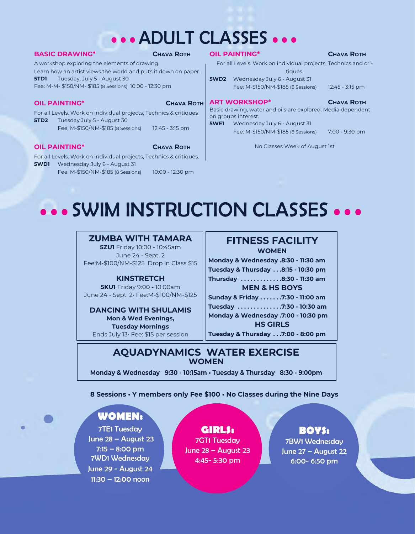## • • • ADULT CLASSES • • •

#### **BASIC DRAWING\* CHAVA ROTH**

A workshop exploring the elements of drawing. Learn how an artist views the world and puts it down on paper. **5TD1** Tuesday, July 5 - August 30 Fee: M-M- \$150/NM- \$185 (8 Sessions) 10:00 - 12:30 pm

#### **OIL PAINTING\* CHAVA ROTH**

For all Levels. Work on individual projects, Technics & critiques **5TD2** Tuesday July 5 - August 30 Fee: M-\$150/NM-\$185 (8 Sessions) 12:45 - 3:15 pm

**OIL PAINTING\* CHAVA ROTH** 

For all Levels. Work on individual projects, Technics & critiques. **5WD1** Wednesday July 6 - August 31

Fee: M-\$150/NM-\$185 (8 Sessions) 10:00 - 12:30 pm

#### **OIL PAINTING\* CHAVA ROTH**

For all Levels. Work on individual projects, Technics and critiques.

**5WD2** Wednesday July 6 - August 31 Fee: M-\$150/NM-\$185 (8 Sessions) 12:45 - 3:15 pm

**ART WORKSHOP\* CHAVA ROTH** Basic drawing, water and oils are explored. Media dependent on groups interest.

**5WE1** Wednesday July 6 - August 31 Fee: M-\$150/NM-\$185 (8 Sessions) 7:00 - 9:30 pm

No Classes Week of August 1st

## • • • SWIM INSTRUCTION CLASSES • • •

#### **ZUMBA WITH TAMARA**

**5ZU1** Friday 10:00 - 10:45am June 24 - Sept. 2 Fee:M-\$100/NM-\$125 Drop in Class \$15

#### **KINSTRETCH**

**5KU1** Friday 9:00 - 10:00am June 24 - Sept. 2• Fee:M-\$100/NM-\$125

**DANCING WITH SHULAMIS Mon & Wed Evenings, Tuesday Mornings** Ends July 13• Fee: \$15 per session

#### **FITNESS FACILITY WOMEN**

**Monday & Wednesday .8:30 - 11:30 am Tuesday & Thursday . . .8:15 - 10:30 pm Thursday . . . . . . . . . . . . .8:30 - 11:30 am**

**MEN & HS BOYS**

**Sunday & Friday . . . . . . .7:30 - 11:00 am**

**Tuesday . . . . . . . . . . . . . .7:30 - 10:30 am Monday & Wednesday .7:00 - 10:30 pm HS GIRLS**

**Tuesday & Thursday . . .7:00 - 8:00 pm**

#### **AQUADYNAMICS WATER EXERCISE WOMEN**

**Monday & Wednesday 9:30 - 10:15am • Tuesday & Thursday 8:30 - 9:00pm**

**8 Sessions • Y members only Fee \$100 • No Classes during the Nine Days**

#### **WOMEN:**

7TE1 Tuesday June 28 – August 23 7:15 – 8:00 pm 7WD1 Wednesday June 29 - August 24 11:30 – 12:00 noon

**GIRLS:** 7GT1 Tuesday June 28 – August 23 4:45- 5:30 pm

#### **BOYS:**

7BW1 Wednesday June 27 – August 22 6:00- 6:50 pm